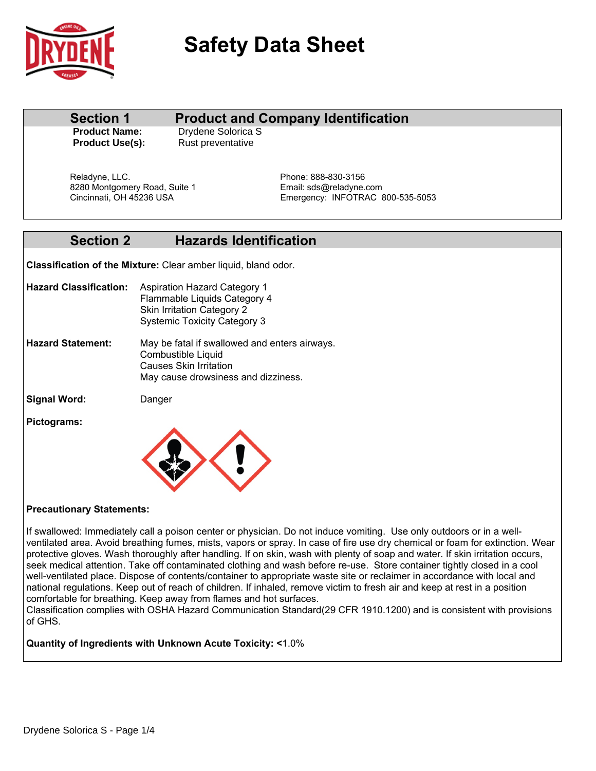

# **Safety Data Sheet**

### **Section 1 Product and Company Identification**

**Product Name:** Drydene Solorica S **Product Use(s):** Rust preventative

Reladyne, LLC. **Phone: 888-830-3156** 8280 Montgomery Road, Suite 1 Email: sds@reladyne.com<br>Cincinnati, OH 45236 USA email: Emergency: INFOTRAC 8

Emergency: INFOTRAC 800-535-5053

# **Section 2 Hazards Identification**

**Classification of the Mixture:** Clear amber liquid, bland odor.

- **Hazard Classification:** Aspiration Hazard Category 1 Flammable Liquids Category 4 Skin Irritation Category 2 Systemic Toxicity Category 3
- Combustible Liquid Causes Skin Irritation May cause drowsiness and dizziness. **Hazard Statement:** May be fatal if swallowed and enters airways.
- **Signal Word:** Danger
- **Pictograms:**



### **Precautionary Statements:**

If swallowed: Immediately call a poison center or physician. Do not induce vomiting. Use only outdoors or in a wellventilated area. Avoid breathing fumes, mists, vapors or spray. In case of fire use dry chemical or foam for extinction. Wear protective gloves. Wash thoroughly after handling. If on skin, wash with plenty of soap and water. If skin irritation occurs, seek medical attention. Take off contaminated clothing and wash before re-use. Store container tightly closed in a cool well-ventilated place. Dispose of contents/container to appropriate waste site or reclaimer in accordance with local and national regulations. Keep out of reach of children. If inhaled, remove victim to fresh air and keep at rest in a position comfortable for breathing. Keep away from flames and hot surfaces.

Classification complies with OSHA Hazard Communication Standard(29 CFR 1910.1200) and is consistent with provisions of GHS.

**Quantity of Ingredients with Unknown Acute Toxicity: <**1.0%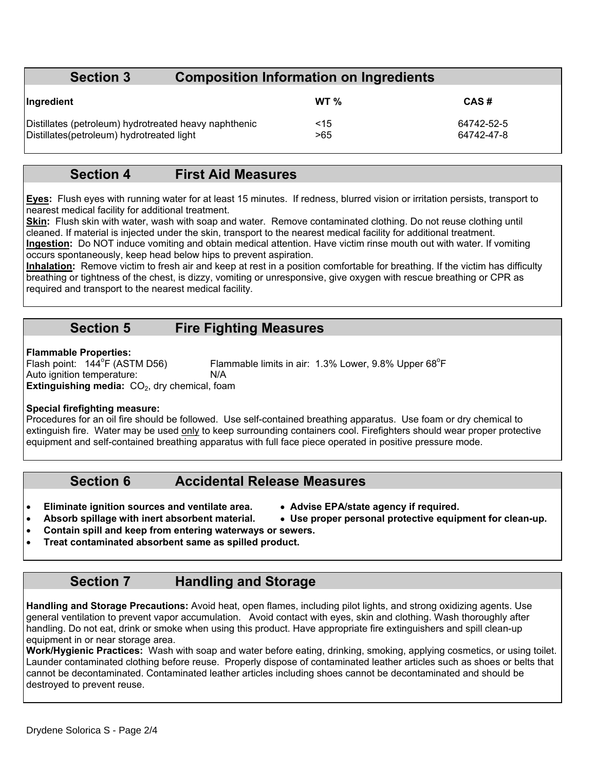# **Section 3 Composition Information on Ingredients**

| Ingredient                                            | WT $\%$ | CAS#       |
|-------------------------------------------------------|---------|------------|
| Distillates (petroleum) hydrotreated heavy naphthenic | <15     | 64742-52-5 |
| Distillates (petroleum) hydrotreated light            | >65     | 64742-47-8 |

### **Section 4 First Aid Measures**

**Eyes:** Flush eyes with running water for at least 15 minutes. If redness, blurred vision or irritation persists, transport to nearest medical facility for additional treatment.

**Skin:** Flush skin with water, wash with soap and water. Remove contaminated clothing. Do not reuse clothing until cleaned. If material is injected under the skin, transport to the nearest medical facility for additional treatment. **Ingestion:** Do NOT induce vomiting and obtain medical attention. Have victim rinse mouth out with water. If vomiting occurs spontaneously, keep head below hips to prevent aspiration.

**Inhalation:** Remove victim to fresh air and keep at rest in a position comfortable for breathing. If the victim has difficulty breathing or tightness of the chest, is dizzy, vomiting or unresponsive, give oxygen with rescue breathing or CPR as required and transport to the nearest medical facility.

### **Section 5 Fire Fighting Measures**

### **Flammable Properties:**

Flash point:  $144^{\circ}$ F (ASTM D56) F (ASTM D56) Flammable limits in air:  $1.3\%$  Lower,  $9.8\%$  Upper  $68^{\circ}$ F Auto ignition temperature: N/A **Extinguishing media:** CO<sub>2</sub>, dry chemical, foam

### **Special firefighting measure:**

Procedures for an oil fire should be followed. Use self-contained breathing apparatus. Use foam or dry chemical to extinguish fire. Water may be used only to keep surrounding containers cool. Firefighters should wear proper protective equipment and self-contained breathing apparatus with full face piece operated in positive pressure mode.

### **Section 6 Accidental Release Measures**

- **Eliminate ignition sources and ventilate area. Advise EPA/state agency if required.**
- Absorb spillage with inert absorbent material.  $\bullet$  Use proper personal protective equipment for clean-up.
- -
- **Contain spill and keep from entering waterways or sewers.**
- **Treat contaminated absorbent same as spilled product.**

# **Section 7 Handling and Storage**

**Handling and Storage Precautions:** Avoid heat, open flames, including pilot lights, and strong oxidizing agents. Use general ventilation to prevent vapor accumulation. Avoid contact with eyes, skin and clothing. Wash thoroughly after handling. Do not eat, drink or smoke when using this product. Have appropriate fire extinguishers and spill clean-up equipment in or near storage area.

**Work/Hygienic Practices:** Wash with soap and water before eating, drinking, smoking, applying cosmetics, or using toilet. Launder contaminated clothing before reuse. Properly dispose of contaminated leather articles such as shoes or belts that cannot be decontaminated. Contaminated leather articles including shoes cannot be decontaminated and should be destroyed to prevent reuse.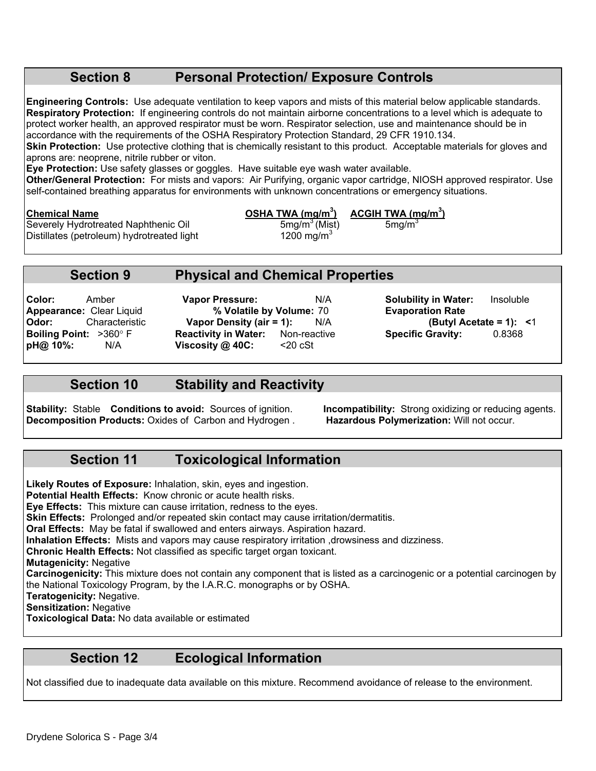### **Section 8 Personal Protection/ Exposure Controls**

**Engineering Controls:** Use adequate ventilation to keep vapors and mists of this material below applicable standards. **Respiratory Protection:** If engineering controls do not maintain airborne concentrations to a level which is adequate to protect worker health, an approved respirator must be worn. Respirator selection, use and maintenance should be in accordance with the requirements of the OSHA Respiratory Protection Standard, 29 CFR 1910.134.

**Skin Protection:** Use protective clothing that is chemically resistant to this product. Acceptable materials for gloves and aprons are: neoprene, nitrile rubber or viton.

**Eye Protection:** Use safety glasses or goggles. Have suitable eye wash water available.

**Other/General Protection:** For mists and vapors: Air Purifying, organic vapor cartridge, NIOSH approved respirator. Use self-contained breathing apparatus for environments with unknown concentrations or emergency situations.

Severely Hydrotreated Naphthenic Oil  $\frac{5 \text{mg/m}^3 \text{(Mist)}}{1200 \text{ mg/m}^3}$  5mg/m<sup>3</sup> Distillates (petroleum) hydrotreated light

**Chemical Name OSHA TWA (mg/m3 ) ACGIH TWA (mg/m3 )**

### **Section 9 Physical and Chemical Properties**

**Appearance:** Clear Liquid **% Volatile by Volume:** 70 **Evaporation Rate Odor:** Characteristic **Vapor Density (air = 1):** N/A **(Butyl Acetation)**<br> **Boiling Point:** >360° F **Reactivity in Water:** Non-reactive **1996** Specific Gravity: **Boiling Point:** >360 F **Reactivity in Water:** Non-reactive **Specific Gravity:** 0.8368 **pH@ 10%:** N/A **Viscosity @ 40C:** <20 cSt

**Color:** Amber **Vapor Pressure:** N/A **Solubility in Water:** Insoluble

### **Section 10 Stability and Reactivity**

**Stability:** Stable **Conditions to avoid:** Sources of ignition. **Incompatibility:** Strong oxidizing or reducing agents. **Decomposition Products: Oxides of Carbon and Hydrogen.** 

# **Section 11 Toxicological Information**

**Likely Routes of Exposure:** Inhalation, skin, eyes and ingestion.

**Potential Health Effects:** Know chronic or acute health risks.

**Eye Effects:** This mixture can cause irritation, redness to the eyes.

**Skin Effects:** Prolonged and/or repeated skin contact may cause irritation/dermatitis.

**Oral Effects:** May be fatal if swallowed and enters airways. Aspiration hazard.

**Inhalation Effects:** Mists and vapors may cause respiratory irritation ,drowsiness and dizziness.

**Chronic Health Effects:** Not classified as specific target organ toxicant.

**Mutagenicity:** Negative

**Carcinogenicity:** This mixture does not contain any component that is listed as a carcinogenic or a potential carcinogen by the National Toxicology Program, by the I.A.R.C. monographs or by OSHA.

**Teratogenicity:** Negative.

**Sensitization:** Negative

**Toxicological Data:** No data available or estimated

# **Section 12 Ecological Information**

Not classified due to inadequate data available on this mixture. Recommend avoidance of release to the environment.